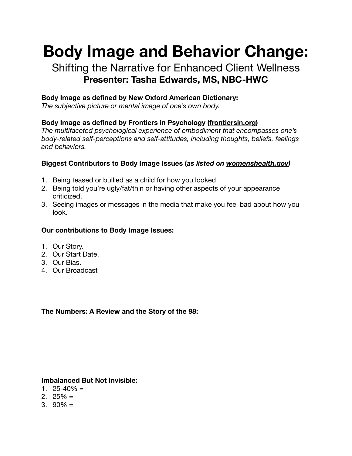# **Body Image and Behavior Change:**

## Shifting the Narrative for Enhanced Client Wellness **Presenter: Tasha Edwards, MS, NBC-HWC**

#### **Body Image as defined by New Oxford American Dictionary:**

*The subjective picture or mental image of one's own body.* 

### **Body Image as defined by Frontiers in Psychology [\(frontiersin.org](http://frontiersin.org))**

*The multifaceted psychological experience of embodiment that encompasses one's body-related self-perceptions and self-attitudes, including thoughts, beliefs, feelings and behaviors.* 

#### **Biggest Contributors to Body Image Issues (***as listed on [womenshealth.gov\)](http://womenshealth.gov)*

- 1. Being teased or bullied as a child for how you looked
- 2. Being told you're ugly/fat/thin or having other aspects of your appearance criticized.
- 3. Seeing images or messages in the media that make you feel bad about how you look.

#### **Our contributions to Body Image Issues:**

- 1. Our Story.
- 2. Our Start Date.
- 3. Our Bias.
- 4. Our Broadcast

#### **The Numbers: A Review and the Story of the 98:**

#### **Imbalanced But Not Invisible:**

- 1.  $25 40\% =$
- 2.  $25\% =$
- 3.  $90\% =$